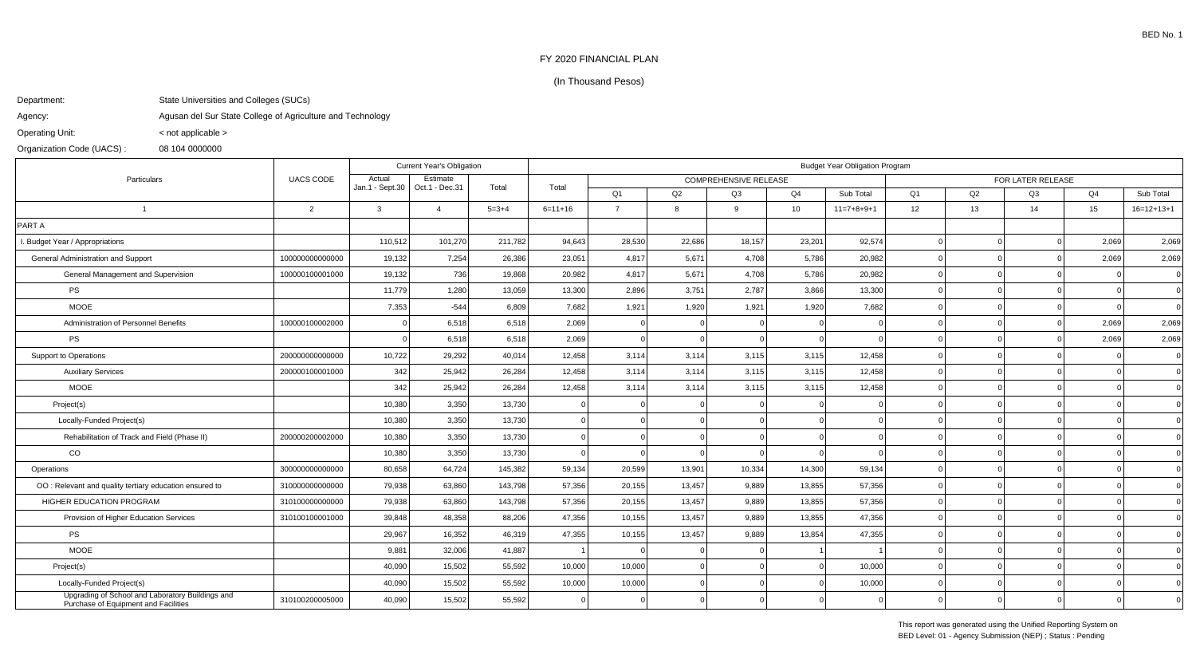## FY 2020 FINANCIAL PLAN

## (In Thousand Pesos)

## Department:State Universities and Colleges (SUCs)

Agency:Agusan del Sur State College of Agriculture and Technology

Operating Unit:< not applicable >

## Organization Code (UACS) :08 104 0000000

| Particulars                                                                              | <b>UACS CODE</b> | <b>Current Year's Obligation</b> |                            |             | <b>Budget Year Obligation Program</b> |                              |        |        |          |              |                   |    |    |                 |              |
|------------------------------------------------------------------------------------------|------------------|----------------------------------|----------------------------|-------------|---------------------------------------|------------------------------|--------|--------|----------|--------------|-------------------|----|----|-----------------|--------------|
|                                                                                          |                  | Actual                           | Estimate<br>Oct.1 - Dec.31 | Total       |                                       | <b>COMPREHENSIVE RELEASE</b> |        |        |          |              | FOR LATER RELEASE |    |    |                 |              |
|                                                                                          |                  | Jan.1 - Sept.30                  |                            |             | Total                                 | Q <sub>1</sub>               | Q2     | Q3     | Q4       | Sub Total    | Q <sub>1</sub>    | Q2 | Q3 | Q4              | Sub Total    |
| $\overline{1}$                                                                           | 2                | $\mathbf{3}$                     | $\overline{4}$             | $5 = 3 + 4$ | $6=11+16$                             | $\overline{7}$               | 8      | 9      | 10       | $11=7+8+9+1$ | 12                | 13 | 14 | 15 <sub>1</sub> | $16=12+13+1$ |
| PART A                                                                                   |                  |                                  |                            |             |                                       |                              |        |        |          |              |                   |    |    |                 |              |
| I. Budget Year / Appropriations                                                          |                  | 110,512                          | 101,270                    | 211,782     | 94,643                                | 28,530                       | 22,686 | 18,157 | 23,201   | 92,574       |                   |    |    | 2,069           | 2,069        |
| General Administration and Support                                                       | 100000000000000  | 19,132                           | 7,254                      | 26,386      | 23,051                                | 4,817                        | 5,671  | 4,708  | 5,786    | 20,982       |                   |    |    | 2,069           | 2,069        |
| General Management and Supervision                                                       | 100000100001000  | 19,132                           | 736                        | 19,868      | 20,982                                | 4,817                        | 5,671  | 4,708  | 5,786    | 20,982       |                   |    |    |                 | $\Omega$     |
| <b>PS</b>                                                                                |                  | 11,779                           | 1,280                      | 13,059      | 13,300                                | 2,896                        | 3,751  | 2,787  | 3,866    | 13,300       |                   |    |    |                 | $\Omega$     |
| <b>MOOE</b>                                                                              |                  | 7,353                            | $-544$                     | 6,809       | 7,682                                 | 1,921                        | 1,920  | 1,921  | 1,920    | 7,682        |                   |    |    |                 | $\Omega$     |
| Administration of Personnel Benefits                                                     | 100000100002000  |                                  | 6,518                      | 6,518       | 2,069                                 | $\Omega$                     |        |        |          |              |                   |    |    | 2,069           | 2,069        |
| <b>PS</b>                                                                                |                  |                                  | 6,518                      | 6,518       | 2,069                                 | $\Omega$                     |        |        | $\Omega$ |              |                   |    |    | 2,069           | 2,069        |
| <b>Support to Operations</b>                                                             | 200000000000000  | 10,722                           | 29,292                     | 40,014      | 12,458                                | 3,114                        | 3,114  | 3,115  | 3,115    | 12,458       |                   |    |    |                 | $\Omega$     |
| <b>Auxiliary Services</b>                                                                | 200000100001000  | 342                              | 25,942                     | 26,284      | 12,458                                | 3,114                        | 3,114  | 3,115  | 3,115    | 12,458       |                   |    |    |                 | $\Omega$     |
| <b>MOOE</b>                                                                              |                  | 342                              | 25,942                     | 26,284      | 12,458                                | 3,114                        | 3,114  | 3,115  | 3,115    | 12,458       |                   |    |    |                 |              |
| Project(s)                                                                               |                  | 10,380                           | 3,350                      | 13,730      |                                       |                              |        |        |          |              |                   |    |    |                 |              |
| Locally-Funded Project(s)                                                                |                  | 10,380                           | 3,350                      | 13,730      |                                       | $\Omega$                     |        |        |          |              |                   |    |    |                 | $\Omega$     |
| Rehabilitation of Track and Field (Phase II)                                             | 200000200002000  | 10,380                           | 3,350                      | 13,730      |                                       | $\Omega$                     |        |        |          |              |                   |    |    |                 |              |
| $_{\rm CO}$                                                                              |                  | 10,380                           | 3,350                      | 13,730      |                                       |                              |        |        | $\Omega$ |              |                   |    |    |                 |              |
| Operations                                                                               | 300000000000000  | 80,658                           | 64,724                     | 145,382     | 59,134                                | 20,599                       | 13,901 | 10,334 | 14,300   | 59,134       |                   |    |    |                 | $\Omega$     |
| OO: Relevant and quality tertiary education ensured to                                   | 310000000000000  | 79,938                           | 63,860                     | 143,798     | 57,356                                | 20,155                       | 13,457 | 9,889  | 13,855   | 57,356       |                   |    |    |                 |              |
| HIGHER EDUCATION PROGRAM                                                                 | 310100000000000  | 79,938                           | 63,860                     | 143,798     | 57,356                                | 20,155                       | 13,457 | 9,889  | 13,855   | 57,356       |                   |    |    |                 |              |
| Provision of Higher Education Services                                                   | 310100100001000  | 39,848                           | 48,358                     | 88,206      | 47,356                                | 10,155                       | 13,457 | 9,889  | 13,855   | 47,356       |                   |    |    |                 |              |
| <b>PS</b>                                                                                |                  | 29,967                           | 16,352                     | 46,319      | 47,355                                | 10,155                       | 13,457 | 9,889  | 13,854   | 47,355       |                   |    |    |                 |              |
| <b>MOOE</b>                                                                              |                  | 9,881                            | 32,006                     | 41,887      |                                       | $\Omega$                     |        |        |          |              |                   |    |    |                 |              |
| Project(s)                                                                               |                  | 40,090                           | 15,502                     | 55,592      | 10,000                                | 10,000                       |        |        |          | 10,000       |                   |    |    |                 |              |
| Locally-Funded Project(s)                                                                |                  | 40,090                           | 15,502                     | 55,592      | 10,000                                | 10,000                       |        |        |          | 10,000       |                   |    |    |                 |              |
| Upgrading of School and Laboratory Buildings and<br>Purchase of Equipment and Facilities | 310100200005000  | 40,090                           | 15,502                     | 55,592      |                                       |                              |        |        |          |              |                   |    |    |                 |              |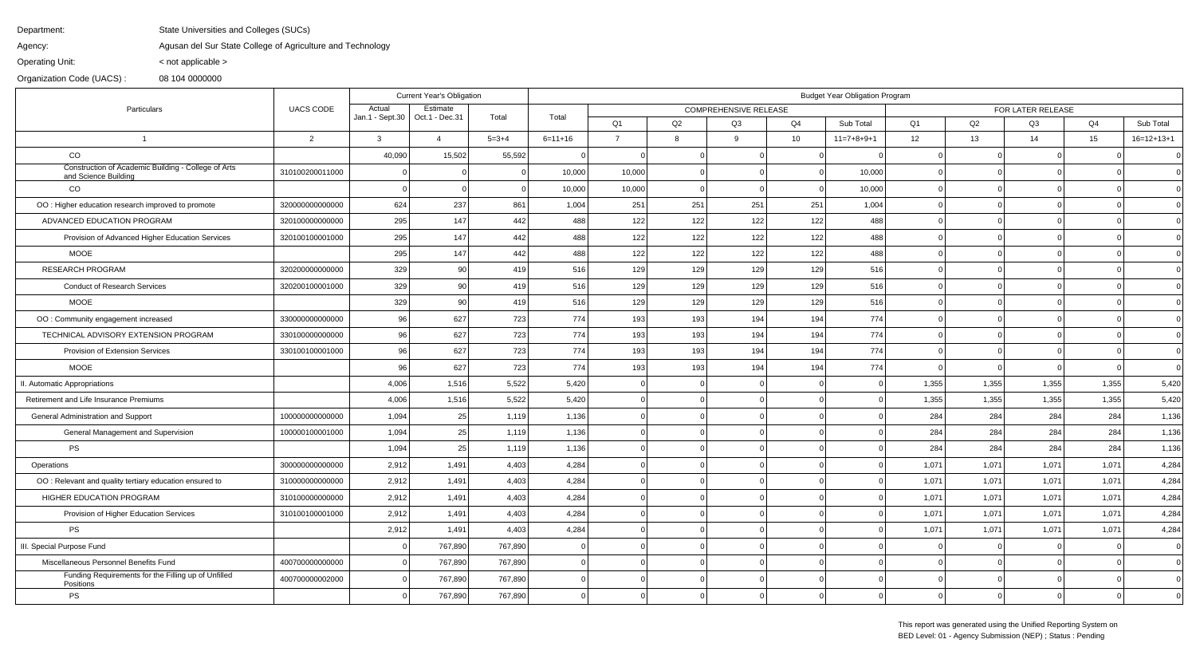Department:State Universities and Colleges (SUCs)

Agency:Agusan del Sur State College of Agriculture and Technology

< not applicable >

Operating Unit:

Organization Code (UACS) :08 104 0000000

| Particulars                                                                 |                  | <b>Current Year's Obligation</b> |                            |             | <b>Budget Year Obligation Program</b> |                                                   |          |     |                 |              |                |          |       |       |              |  |
|-----------------------------------------------------------------------------|------------------|----------------------------------|----------------------------|-------------|---------------------------------------|---------------------------------------------------|----------|-----|-----------------|--------------|----------------|----------|-------|-------|--------------|--|
|                                                                             | <b>UACS CODE</b> | Actual<br>Jan.1 - Sept.30        | Estimate<br>Oct.1 - Dec.31 | Total       | Total                                 | <b>COMPREHENSIVE RELEASE</b><br>FOR LATER RELEASE |          |     |                 |              |                |          |       |       |              |  |
|                                                                             |                  |                                  |                            |             |                                       | Q <sub>1</sub>                                    | Q2       | Q3  | Q4              | Sub Total    | Q <sub>1</sub> | Q2       | Q3    | Q4    | Sub Total    |  |
| $\overline{1}$                                                              | 2                | $\mathbf{3}$                     | $\overline{4}$             | $5 = 3 + 4$ | $6 = 11 + 16$                         | $\overline{7}$                                    | 8        | 9   | 10 <sup>1</sup> | $11=7+8+9+1$ | 12             | 13       | 14    | 15    | $16=12+13+1$ |  |
| CO                                                                          |                  | 40,090                           | 15,502                     | 55,592      |                                       |                                                   |          |     |                 |              |                |          |       |       | $\Omega$     |  |
| Construction of Academic Building - College of Arts<br>and Science Building | 310100200011000  |                                  |                            | $\Omega$    | 10,000                                | 10,000                                            | $\Omega$ |     |                 | 10,000       |                |          |       |       | $\Omega$     |  |
| <sub>CO</sub>                                                               |                  |                                  |                            | $\Omega$    | 10,000                                | 10,000                                            |          |     |                 | 10,000       |                |          |       |       | $\Omega$     |  |
| OO : Higher education research improved to promote                          | 32000000000000   | 624                              | 237                        | 861         | 1,004                                 | 251                                               | 251      | 251 | 251             | 1,004        |                |          |       |       | $\Omega$     |  |
| ADVANCED EDUCATION PROGRAM                                                  | 320100000000000  | 295                              | 147                        | 442         | 488                                   | 122                                               | 122      | 122 | 122             | 488          |                |          |       |       | $\Omega$     |  |
| Provision of Advanced Higher Education Services                             | 320100100001000  | 295                              | 147                        | 442         | 488                                   | 122                                               | 122      | 122 | 122             | 488          |                |          |       |       | $\mathbf 0$  |  |
| <b>MOOE</b>                                                                 |                  | 295                              | 147                        | 442         | 488                                   | 122                                               | 122      | 122 | 122             | 488          |                |          |       |       | $\Omega$     |  |
| <b>RESEARCH PROGRAM</b>                                                     | 32020000000000   | 329                              | 90                         | 419         | 516                                   | 129                                               | 129      | 129 | 129             | 516          |                |          |       |       | $\Omega$     |  |
| <b>Conduct of Research Services</b>                                         | 320200100001000  | 329                              | 90                         | 419         | 516                                   | 129                                               | 129      | 129 | 129             | 516          |                |          |       |       | $\Omega$     |  |
| <b>MOOE</b>                                                                 |                  | 329                              | 90                         | 419         | 516                                   | 129                                               | 129      | 129 | 129             | 516          |                |          |       |       | $\mathbf 0$  |  |
| OO: Community engagement increased                                          | 330000000000000  | 96                               | 627                        | 723         | 774                                   | 193                                               | 193      | 194 | 194             | 774          |                | $\Omega$ |       |       | $\Omega$     |  |
| TECHNICAL ADVISORY EXTENSION PROGRAM                                        | 330100000000000  | 96                               | 627                        | 723         | 774                                   | 193                                               | 193      | 194 | 194             | 774          |                |          |       |       | $\mathbf 0$  |  |
| Provision of Extension Services                                             | 330100100001000  | 96                               | 627                        | 723         | 774                                   | 193                                               | 193      | 194 | 194             | 774          |                |          |       |       | $\mathbf 0$  |  |
| <b>MOOE</b>                                                                 |                  | 96                               | 627                        | 723         | 774                                   | 193                                               | 193      | 194 | 194             | 774          |                | $\Omega$ |       |       | $\Omega$     |  |
| II. Automatic Appropriations                                                |                  | 4,006                            | 1,516                      | 5,522       | 5,420                                 | $\Omega$                                          | $\Omega$ |     |                 |              | 1,355          | 1,355    | 1,355 | 1,355 | 5,420        |  |
| Retirement and Life Insurance Premiums                                      |                  | 4,006                            | 1,516                      | 5,522       | 5,420                                 |                                                   |          |     |                 |              | 1,355          | 1,355    | 1,355 | 1,355 | 5,420        |  |
| General Administration and Support                                          | 100000000000000  | 1,094                            | 25                         | 1,119       | 1,136                                 |                                                   |          |     |                 |              | 284            | 284      | 284   | 284   | 1,136        |  |
| General Management and Supervision                                          | 100000100001000  | 1,094                            | 25                         | 1,119       | 1,136                                 | $\Omega$                                          | - 0 I    |     |                 |              | 284            | 284      | 284   | 284   | 1,136        |  |
| <b>PS</b>                                                                   |                  | 1,094                            | 25                         | 1,119       | 1,136                                 |                                                   | $\Omega$ |     |                 |              | 284            | 284      | 284   | 284   | 1,136        |  |
| Operations                                                                  | 300000000000000  | 2,912                            | 1,491                      | 4,403       | 4,284                                 |                                                   |          |     |                 |              | 1,071          | 1,071    | 1,071 | 1,071 | 4,284        |  |
| OO: Relevant and quality tertiary education ensured to                      | 310000000000000  | 2,912                            | 1,491                      | 4,403       | 4,284                                 |                                                   | - 0 I    |     |                 |              | 1,071          | 1,071    | 1,071 | 1,071 | 4,284        |  |
| HIGHER EDUCATION PROGRAM                                                    | 310100000000000  | 2,912                            | 1,491                      | 4,403       | 4,284                                 | $\Omega$                                          | $\Omega$ |     |                 |              | 1,071          | 1,071    | 1,071 | 1,071 | 4,284        |  |
| Provision of Higher Education Services                                      | 310100100001000  | 2,912                            | 1,491                      | 4,403       | 4,284                                 |                                                   |          |     |                 |              | 1,071          | 1,071    | 1,071 | 1,071 | 4,284        |  |
| <b>PS</b>                                                                   |                  | 2,912                            | 1,491                      | 4,403       | 4,284                                 |                                                   | $\Omega$ |     |                 |              | 1,071          | 1,071    | 1,071 | 1,071 | 4,284        |  |
| III. Special Purpose Fund                                                   |                  |                                  | 767,890                    | 767,890     |                                       |                                                   | $\Omega$ |     |                 |              |                |          |       |       | $\mathbf 0$  |  |
| Miscellaneous Personnel Benefits Fund                                       | 400700000000000  |                                  | 767,890                    | 767,890     |                                       |                                                   | $\Omega$ |     |                 |              |                |          |       |       | $\mathbf 0$  |  |
| Funding Requirements for the Filling up of Unfilled<br>Positions            | 400700000002000  |                                  | 767,890                    | 767,890     |                                       |                                                   | $\Omega$ |     |                 |              |                |          |       |       | $\Omega$     |  |
| <b>PS</b>                                                                   |                  |                                  | 767,890                    | 767,890     |                                       |                                                   |          |     |                 |              |                |          |       |       |              |  |